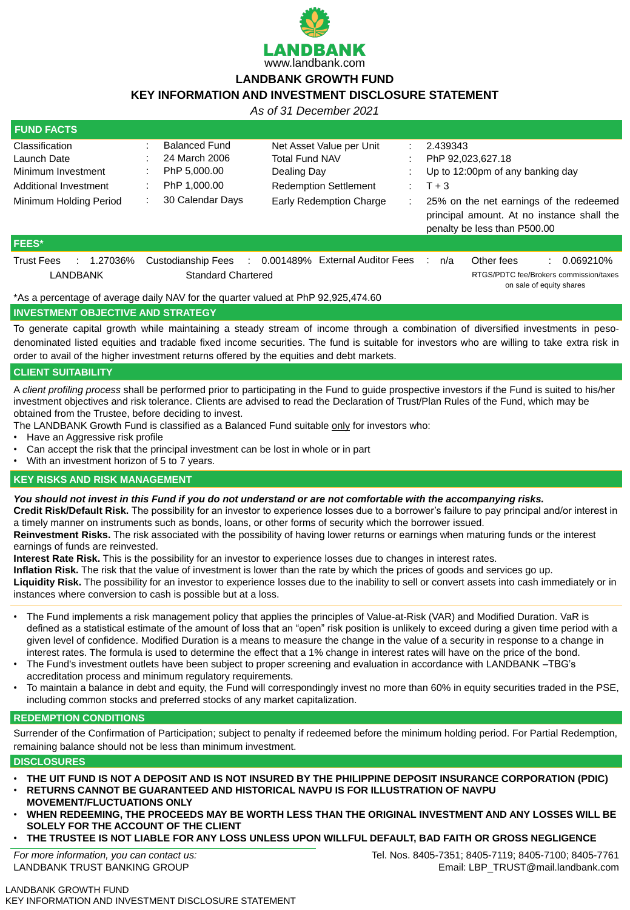

# **LANDBANK GROWTH FUND**

# **KEY INFORMATION AND INVESTMENT DISCLOSURE STATEMENT**

LANDBANK GROWTH FUND KEY INFORMATION AND INVESTMENT DISCLOSURE STATEMENT

*As of 31 December 2021*

| <b>FUND FACTS</b>                                                                                                    |                                                                                                                                                                                                                                                          |                                                                                                                                                                                                       |  |
|----------------------------------------------------------------------------------------------------------------------|----------------------------------------------------------------------------------------------------------------------------------------------------------------------------------------------------------------------------------------------------------|-------------------------------------------------------------------------------------------------------------------------------------------------------------------------------------------------------|--|
| <b>Classification</b><br>Launch Date<br>Minimum Investment<br>Additional Investment<br><b>Minimum Holding Period</b> | <b>Balanced Fund</b><br>Net Asset Value per Unit<br>24 March 2006<br><b>Total Fund NAV</b><br>PhP 5,000.00<br>Dealing Day<br>PhP 1,000.00<br><b>Redemption Settlement</b><br>$\mathbb{Z}^{\times}$<br>30 Calendar Days<br><b>Early Redemption Charge</b> | 2.439343<br>PhP 92,023,627.18<br>Up to 12:00pm of any banking day<br>$T + 3$<br>25% on the net earnings of the redeemed<br>principal amount. At no instance shall the<br>penalty be less than P500.00 |  |
| <b>FEES*</b>                                                                                                         |                                                                                                                                                                                                                                                          |                                                                                                                                                                                                       |  |
| <b>Trust Fees</b><br>$: 1.27036\%$<br>LANDBANK                                                                       | <b>External Auditor Fees</b><br><b>Custodianship Fees</b><br>0.001489%<br>$\mathbb{Z}^{\times}$<br><b>Standard Chartered</b>                                                                                                                             | Other fees<br>$\therefore$ 0.069210%<br>$\sim 100$<br>n/a<br>RTGS/PDTC fee/Brokers commission/taxes<br>on sale of equity shares                                                                       |  |

\*As a percentage of average daily NAV for the quarter valued at PhP 92,925,474.60

#### **INVESTMENT OBJECTIVE AND STRATEGY**

To generate capital growth while maintaining a steady stream of income through a combination of diversified investments in pesodenominated listed equities and tradable fixed income securities. The fund is suitable for investors who are willing to take extra risk in order to avail of the higher investment returns offered by the equities and debt markets.

#### **CLIENT SUITABILITY**

A *client profiling process* shall be performed prior to participating in the Fund to guide prospective investors if the Fund is suited to his/her investment objectives and risk tolerance. Clients are advised to read the Declaration of Trust/Plan Rules of the Fund, which may be obtained from the Trustee, before deciding to invest.

The LANDBANK Growth Fund is classified as a Balanced Fund suitable only for investors who:

- Have an Aggressive risk profile
- Can accept the risk that the principal investment can be lost in whole or in part
- With an investment horizon of 5 to 7 years.

## **KEY RISKS AND RISK MANAGEMENT**

*You should not invest in this Fund if you do not understand or are not comfortable with the accompanying risks.*

**Credit Risk/Default Risk.** The possibility for an investor to experience losses due to a borrower's failure to pay principal and/or interest in a timely manner on instruments such as bonds, loans, or other forms of security which the borrower issued.

**Reinvestment Risks.** The risk associated with the possibility of having lower returns or earnings when maturing funds or the interest earnings of funds are reinvested.

**Interest Rate Risk.** This is the possibility for an investor to experience losses due to changes in interest rates.

**Inflation Risk.** The risk that the value of investment is lower than the rate by which the prices of goods and services go up.

**Liquidity Risk.** The possibility for an investor to experience losses due to the inability to sell or convert assets into cash immediately or in instances where conversion to cash is possible but at a loss.

- The Fund implements a risk management policy that applies the principles of Value-at-Risk (VAR) and Modified Duration. VaR is defined as a statistical estimate of the amount of loss that an "open" risk position is unlikely to exceed during a given time period with a given level of confidence. Modified Duration is a means to measure the change in the value of a security in response to a change in interest rates. The formula is used to determine the effect that a 1% change in interest rates will have on the price of the bond.
- The Fund's investment outlets have been subject to proper screening and evaluation in accordance with LANDBANK –TBG's accreditation process and minimum regulatory requirements.
- To maintain a balance in debt and equity, the Fund will correspondingly invest no more than 60% in equity securities traded in the PSE, including common stocks and preferred stocks of any market capitalization.

# **REDEMPTION CONDITIONS**

Surrender of the Confirmation of Participation; subject to penalty if redeemed before the minimum holding period. For Partial Redemption, remaining balance should not be less than minimum investment.

#### **DISCLOSURES**

- **THE UIT FUND IS NOT A DEPOSIT AND IS NOT INSURED BY THE PHILIPPINE DEPOSIT INSURANCE CORPORATION (PDIC)**
- **RETURNS CANNOT BE GUARANTEED AND HISTORICAL NAVPU IS FOR ILLUSTRATION OF NAVPU MOVEMENT/FLUCTUATIONS ONLY**
- **WHEN REDEEMING, THE PROCEEDS MAY BE WORTH LESS THAN THE ORIGINAL INVESTMENT AND ANY LOSSES WILL BE SOLELY FOR THE ACCOUNT OF THE CLIENT**
- **THE TRUSTEE IS NOT LIABLE FOR ANY LOSS UNLESS UPON WILLFUL DEFAULT, BAD FAITH OR GROSS NEGLIGENCE**

*For more information, you can contact us:* LANDBANK TRUST BANKING GROUP

Tel. Nos. 8405-7351; 8405-7119; 8405-7100; 8405-7761 Email: LBP\_TRUST@mail.landbank.com